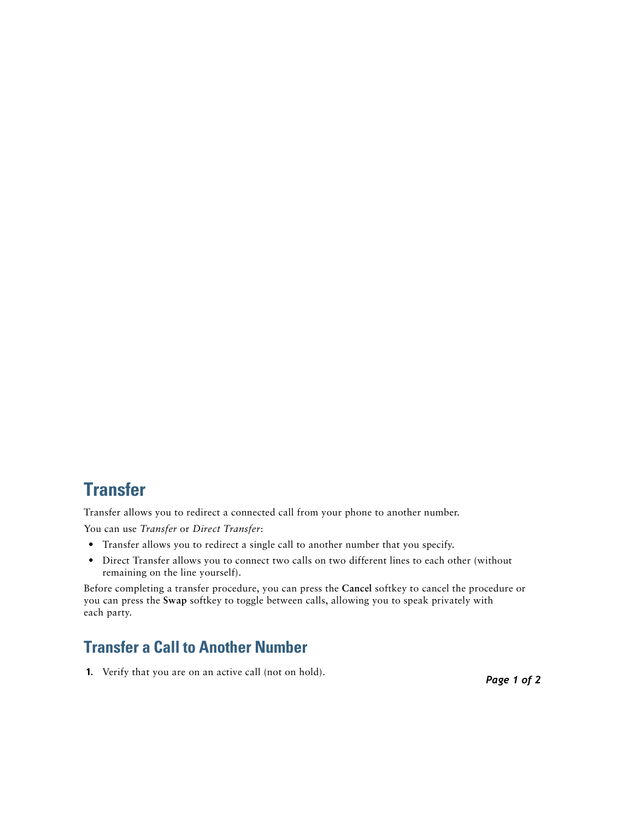## **Transfer**

Transfer allows you to redirect a connected call from your phone to another number. You can use *Transfer* or *Direct Transfer*:

- **•** Transfer allows you to redirect a single call to another number that you specify.
- Direct Transfer allows you to connect two calls on two different lines to each other (without remaining on the line yourself).

Before completing a transfer procedure, you can press the **Cancel** softkey to cancel the procedure or you can press the **Swap** softkey to toggle between calls, allowing you to speak privately with each party.

## **Transfer a Call to Another Number**

**1.** Verify that you are on an active call (not on hold).